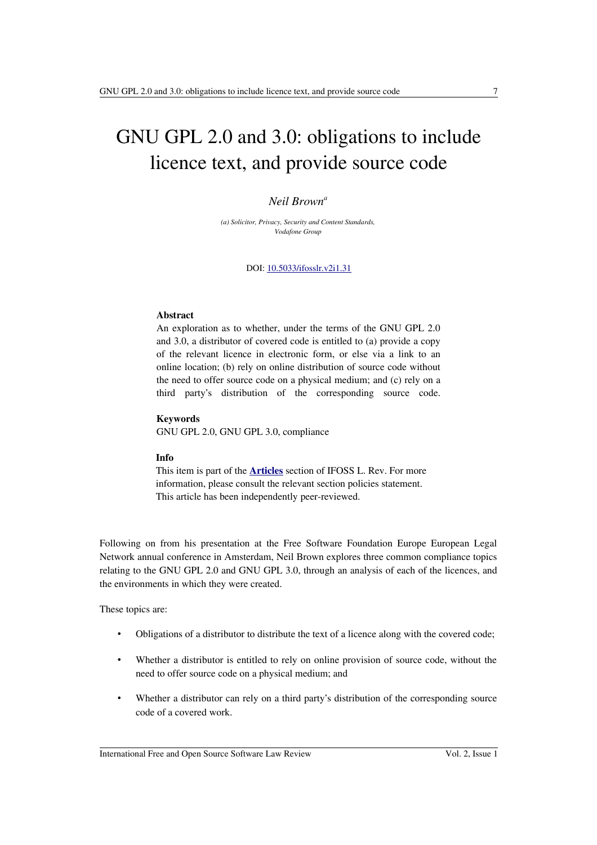# GNU GPL 2.0 and 3.0: obligations to include licence text, and provide source code

### *Neil Brown<sup>a</sup>*

*(a) Solicitor, Privacy, Security and Content Standards, Vodafone Group*

DOI: [10.5033/ifosslr.v2i1.31](http://dx.doi.org/10.5033/ifosslr.v2i1.31)

#### **Abstract**

An exploration as to whether, under the terms of the GNU GPL 2.0 and 3.0, a distributor of covered code is entitled to (a) provide a copy of the relevant licence in electronic form, or else via a link to an online location; (b) rely on online distribution of source code without the need to offer source code on a physical medium; and (c) rely on a third party's distribution of the corresponding source code.

#### **Keywords**

GNU GPL 2.0, GNU GPL 3.0, compliance

#### **Info**

This item is part of the **[Articles](http://www.ifosslr.org/ifosslr/about/editorialPolicies#sectionPolicies)** section of IFOSS L. Rev. For more information, please consult the relevant section policies statement. This article has been independently peer-reviewed.

Following on from his presentation at the Free Software Foundation Europe European Legal Network annual conference in Amsterdam, Neil Brown explores three common compliance topics relating to the GNU GPL 2.0 and GNU GPL 3.0, through an analysis of each of the licences, and the environments in which they were created.

These topics are:

- Obligations of a distributor to distribute the text of a licence along with the covered code;
- Whether a distributor is entitled to rely on online provision of source code, without the need to offer source code on a physical medium; and
- Whether a distributor can rely on a third party's distribution of the corresponding source code of a covered work.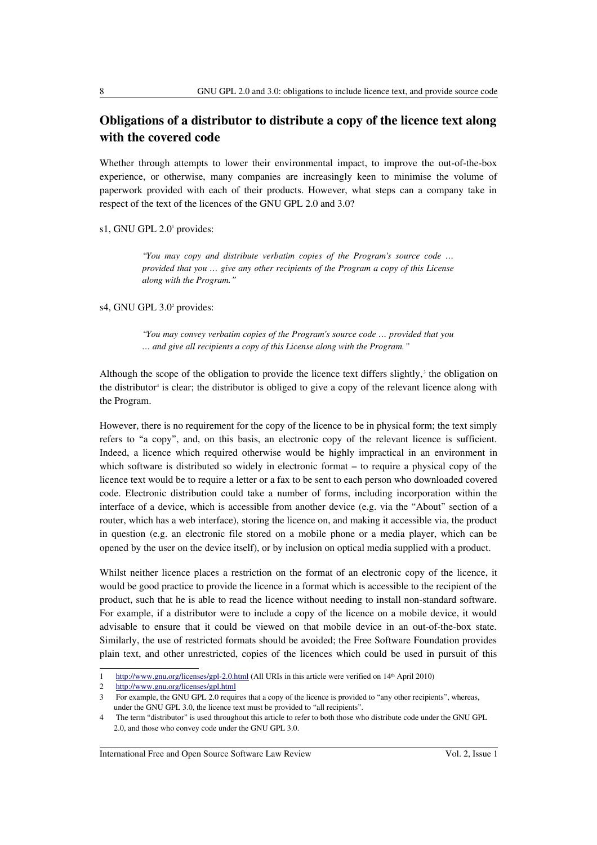# **Obligations of a distributor to distribute a copy of the licence text along with the covered code**

Whether through attempts to lower their environmental impact, to improve the out-of-the-box experience, or otherwise, many companies are increasingly keen to minimise the volume of paperwork provided with each of their products. However, what steps can a company take in respect of the text of the licences of the GNU GPL 2.0 and 3.0?

s1, GNU GPL 2.[0](#page-1-0)<sup>1</sup> provides:

*"You may copy and distribute verbatim copies of the Program's source code … provided that you … give any other recipients of the Program a copy of this License along with the Program."*

s4, GNU GPL 3.[0](#page-1-1)<sup>2</sup> provides:

*"You may convey verbatim copies of the Program's source code … provided that you … and give all recipients a copy of this License along with the Program."*

Although the scope of the obligation to provide the licence text differs slightly, $\delta$  the obligation on the dist[r](#page-1-3)ibutor<sup>4</sup> is clear; the distributor is obliged to give a copy of the relevant licence along with the Program.

However, there is no requirement for the copy of the licence to be in physical form; the text simply refers to "a copy", and, on this basis, an electronic copy of the relevant licence is sufficient. Indeed, a licence which required otherwise would be highly impractical in an environment in which software is distributed so widely in electronic format – to require a physical copy of the licence text would be to require a letter or a fax to be sent to each person who downloaded covered code. Electronic distribution could take a number of forms, including incorporation within the interface of a device, which is accessible from another device (e.g. via the "About" section of a router, which has a web interface), storing the licence on, and making it accessible via, the product in question (e.g. an electronic file stored on a mobile phone or a media player, which can be opened by the user on the device itself), or by inclusion on optical media supplied with a product.

Whilst neither licence places a restriction on the format of an electronic copy of the licence, it would be good practice to provide the licence in a format which is accessible to the recipient of the product, such that he is able to read the licence without needing to install non-standard software. For example, if a distributor were to include a copy of the licence on a mobile device, it would advisable to ensure that it could be viewed on that mobile device in an out-of-the-box state. Similarly, the use of restricted formats should be avoided; the Free Software Foundation provides plain text, and other unrestricted, copies of the licences which could be used in pursuit of this

International Free and Open Source Software Law Review Vol. 2, Issue 1

<span id="page-1-0"></span><sup>1</sup> <http://www.gnu.org/licenses/gpl-2.0.html>(All URIs in this article were verified on 14th April 2010)

<span id="page-1-1"></span><sup>2</sup> <http://www.gnu.org/licenses/gpl.html>

<span id="page-1-2"></span><sup>3</sup> For example, the GNU GPL 2.0 requires that a copy of the licence is provided to "any other recipients", whereas, under the GNU GPL 3.0, the licence text must be provided to "all recipients".

<span id="page-1-3"></span><sup>4</sup> The term "distributor" is used throughout this article to refer to both those who distribute code under the GNU GPL 2.0, and those who convey code under the GNU GPL 3.0.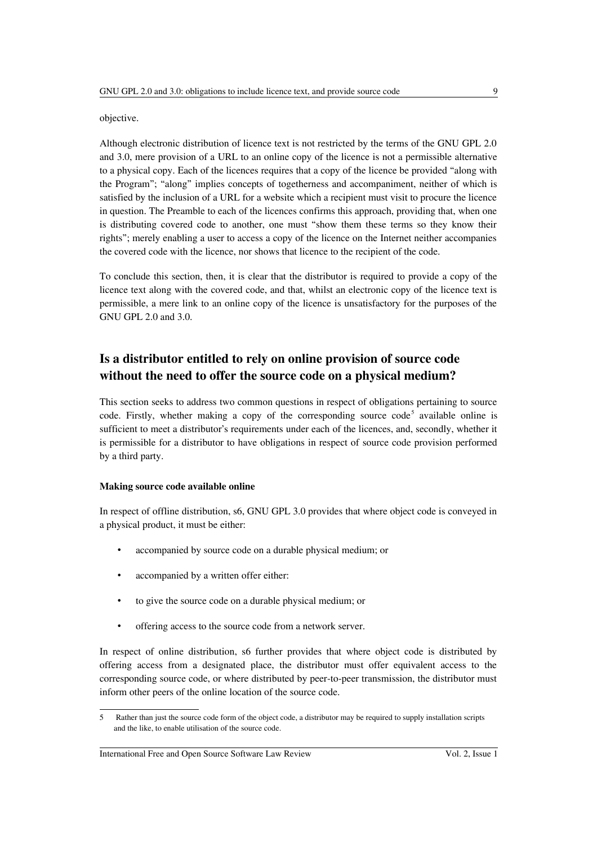#### objective.

Although electronic distribution of licence text is not restricted by the terms of the GNU GPL 2.0 and 3.0, mere provision of a URL to an online copy of the licence is not a permissible alternative to a physical copy. Each of the licences requires that a copy of the licence be provided "along with the Program"; "along" implies concepts of togetherness and accompaniment, neither of which is satisfied by the inclusion of a URL for a website which a recipient must visit to procure the licence in question. The Preamble to each of the licences confirms this approach, providing that, when one is distributing covered code to another, one must "show them these terms so they know their rights"; merely enabling a user to access a copy of the licence on the Internet neither accompanies the covered code with the licence, nor shows that licence to the recipient of the code.

To conclude this section, then, it is clear that the distributor is required to provide a copy of the licence text along with the covered code, and that, whilst an electronic copy of the licence text is permissible, a mere link to an online copy of the licence is unsatisfactory for the purposes of the GNU GPL 2.0 and 3.0.

# **Is a distributor entitled to rely on online provision of source code without the need to offer the source code on a physical medium?**

This section seeks to address two common questions in respect of obligations pertaining to source code. Firstly, whether making a copy of the corresponding source  $code^5$  $code^5$  available online is sufficient to meet a distributor's requirements under each of the licences, and, secondly, whether it is permissible for a distributor to have obligations in respect of source code provision performed by a third party.

#### **Making source code available online**

In respect of offline distribution, s6, GNU GPL 3.0 provides that where object code is conveyed in a physical product, it must be either:

- accompanied by source code on a durable physical medium; or
- accompanied by a written offer either:
- to give the source code on a durable physical medium; or
- offering access to the source code from a network server.

In respect of online distribution, s6 further provides that where object code is distributed by offering access from a designated place, the distributor must offer equivalent access to the corresponding source code, or where distributed by peer-to-peer transmission, the distributor must inform other peers of the online location of the source code.

<span id="page-2-0"></span><sup>5</sup> Rather than just the source code form of the object code, a distributor may be required to supply installation scripts and the like, to enable utilisation of the source code.

International Free and Open Source Software Law Review Vol. 2, Issue 1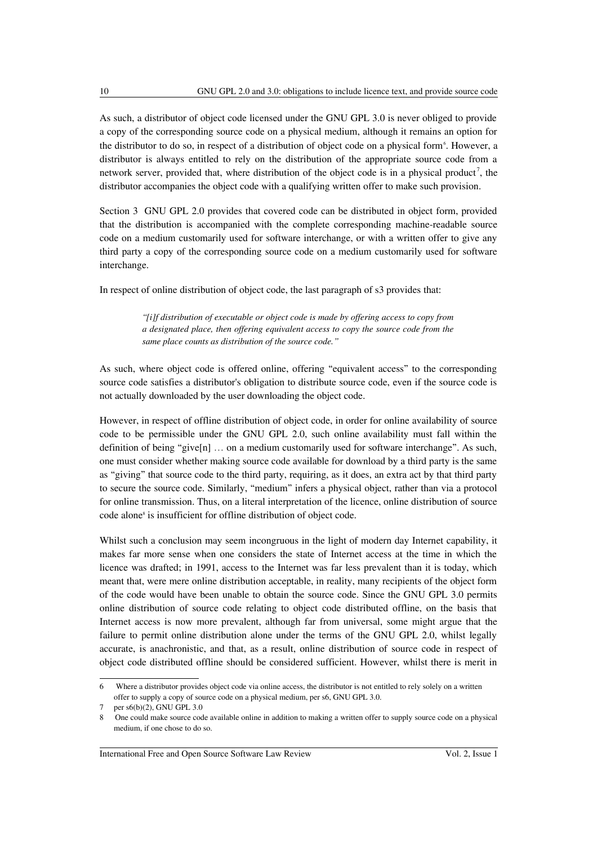As such, a distributor of object code licensed under the GNU GPL 3.0 is never obliged to provide a copy of the corresponding source code on a physical medium, although it remains an option for the distributor to do so, in respect of a distribution of object code on a physical form<sup>[6](#page-3-0)</sup>. However, a distributor is always entitled to rely on the distribution of the appropriate source code from a network server, provided that, where distribution of the object code is in a physical product<sup>[7](#page-3-1)</sup>, the distributor accompanies the object code with a qualifying written offer to make such provision.

Section 3 GNU GPL 2.0 provides that covered code can be distributed in object form, provided that the distribution is accompanied with the complete corresponding machine-readable source code on a medium customarily used for software interchange, or with a written offer to give any third party a copy of the corresponding source code on a medium customarily used for software interchange.

In respect of online distribution of object code, the last paragraph of s3 provides that:

*"[i]f distribution of executable or object code is made by offering access to copy from a designated place, then offering equivalent access to copy the source code from the same place counts as distribution of the source code."*

As such, where object code is offered online, offering "equivalent access" to the corresponding source code satisfies a distributor's obligation to distribute source code, even if the source code is not actually downloaded by the user downloading the object code.

However, in respect of offline distribution of object code, in order for online availability of source code to be permissible under the GNU GPL 2.0, such online availability must fall within the definition of being "give[n] … on a medium customarily used for software interchange". As such, one must consider whether making source code available for download by a third party is the same as "giving" that source code to the third party, requiring, as it does, an extra act by that third party to secure the source code. Similarly, "medium" infers a physical object, rather than via a protocol for online transmission. Thus, on a literal interpretation of the licence, online distribution of source code alone<sup>[8](#page-3-2)</sup> is insufficient for offline distribution of object code.

Whilst such a conclusion may seem incongruous in the light of modern day Internet capability, it makes far more sense when one considers the state of Internet access at the time in which the licence was drafted; in 1991, access to the Internet was far less prevalent than it is today, which meant that, were mere online distribution acceptable, in reality, many recipients of the object form of the code would have been unable to obtain the source code. Since the GNU GPL 3.0 permits online distribution of source code relating to object code distributed offline, on the basis that Internet access is now more prevalent, although far from universal, some might argue that the failure to permit online distribution alone under the terms of the GNU GPL 2.0, whilst legally accurate, is anachronistic, and that, as a result, online distribution of source code in respect of object code distributed offline should be considered sufficient. However, whilst there is merit in

International Free and Open Source Software Law Review Vol. 2, Issue 1

<span id="page-3-0"></span><sup>6</sup> Where a distributor provides object code via online access, the distributor is not entitled to rely solely on a written offer to supply a copy of source code on a physical medium, per s6, GNU GPL 3.0.

<span id="page-3-1"></span>per s6(b)(2), GNU GPL 3.0

<span id="page-3-2"></span><sup>8</sup> One could make source code available online in addition to making a written offer to supply source code on a physical medium, if one chose to do so.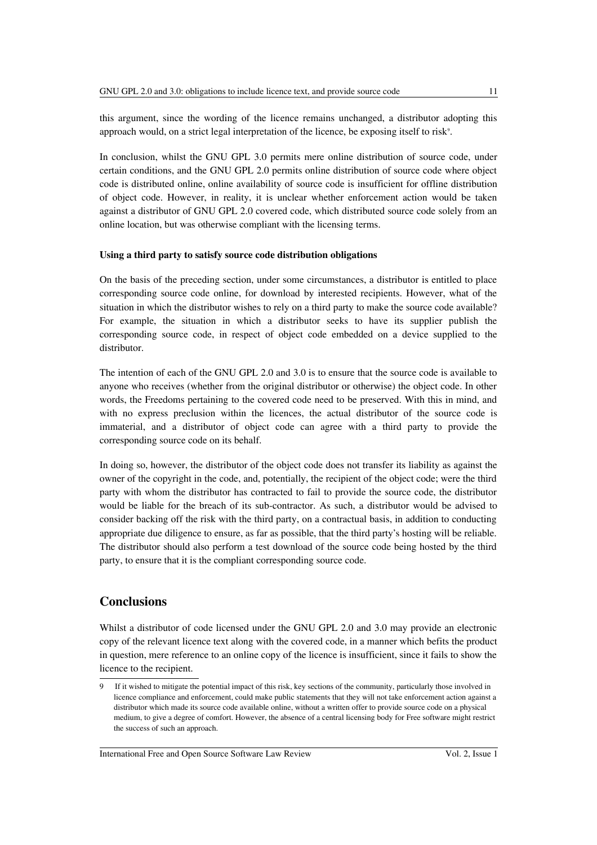this argument, since the wording of the licence remains unchanged, a distributor adopting this approach would, on a strict legal interpretation of the licence, be exposing itself to risk<sup>[9](#page-4-0)</sup>.

In conclusion, whilst the GNU GPL 3.0 permits mere online distribution of source code, under certain conditions, and the GNU GPL 2.0 permits online distribution of source code where object code is distributed online, online availability of source code is insufficient for offline distribution of object code. However, in reality, it is unclear whether enforcement action would be taken against a distributor of GNU GPL 2.0 covered code, which distributed source code solely from an online location, but was otherwise compliant with the licensing terms.

#### **Using a third party to satisfy source code distribution obligations**

On the basis of the preceding section, under some circumstances, a distributor is entitled to place corresponding source code online, for download by interested recipients. However, what of the situation in which the distributor wishes to rely on a third party to make the source code available? For example, the situation in which a distributor seeks to have its supplier publish the corresponding source code, in respect of object code embedded on a device supplied to the distributor.

The intention of each of the GNU GPL 2.0 and 3.0 is to ensure that the source code is available to anyone who receives (whether from the original distributor or otherwise) the object code. In other words, the Freedoms pertaining to the covered code need to be preserved. With this in mind, and with no express preclusion within the licences, the actual distributor of the source code is immaterial, and a distributor of object code can agree with a third party to provide the corresponding source code on its behalf.

In doing so, however, the distributor of the object code does not transfer its liability as against the owner of the copyright in the code, and, potentially, the recipient of the object code; were the third party with whom the distributor has contracted to fail to provide the source code, the distributor would be liable for the breach of its sub-contractor. As such, a distributor would be advised to consider backing off the risk with the third party, on a contractual basis, in addition to conducting appropriate due diligence to ensure, as far as possible, that the third party's hosting will be reliable. The distributor should also perform a test download of the source code being hosted by the third party, to ensure that it is the compliant corresponding source code.

## **Conclusions**

Whilst a distributor of code licensed under the GNU GPL 2.0 and 3.0 may provide an electronic copy of the relevant licence text along with the covered code, in a manner which befits the product in question, mere reference to an online copy of the licence is insufficient, since it fails to show the licence to the recipient.

<span id="page-4-0"></span><sup>9</sup> If it wished to mitigate the potential impact of this risk, key sections of the community, particularly those involved in licence compliance and enforcement, could make public statements that they will not take enforcement action against a distributor which made its source code available online, without a written offer to provide source code on a physical medium, to give a degree of comfort. However, the absence of a central licensing body for Free software might restrict the success of such an approach.

International Free and Open Source Software Law Review Vol. 2, Issue 1